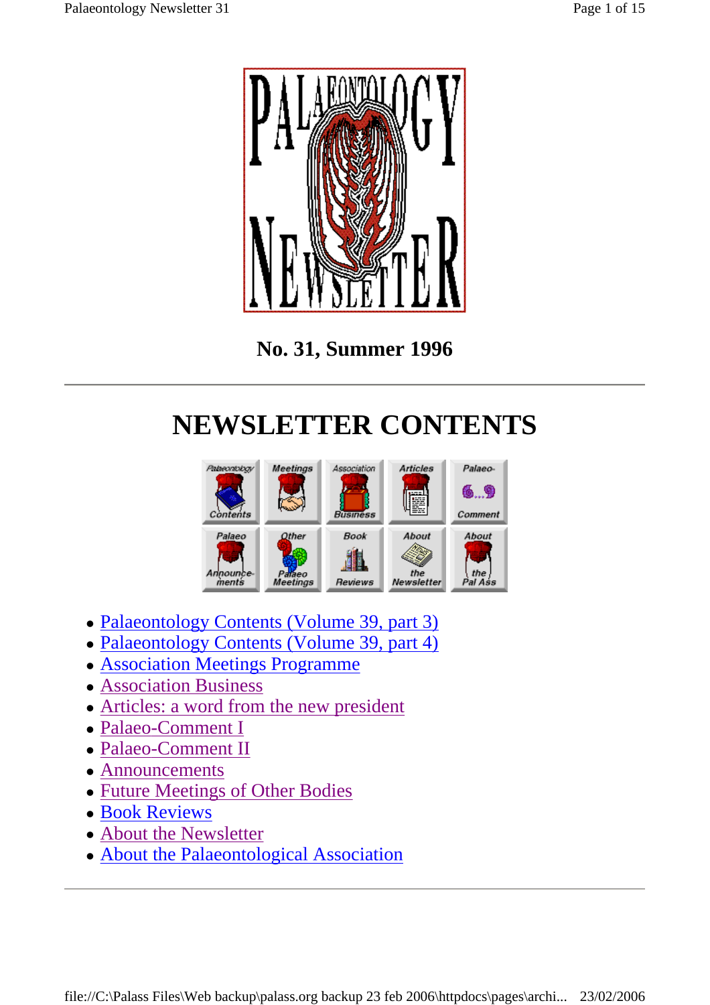

**No. 31, Summer 1996** 

## **NEWSLETTER CONTENTS**



- Palaeontology Contents (Volume 39, part 3)
- Palaeontology Contents (Volume 39, part 4)
- Association Meetings Programme
- Association Business
- Articles: a word from the new president
- Palaeo-Comment I
- Palaeo-Comment II
- Announcements
- Future Meetings of Other Bodies
- Book Reviews
- About the Newsletter
- About the Palaeontological Association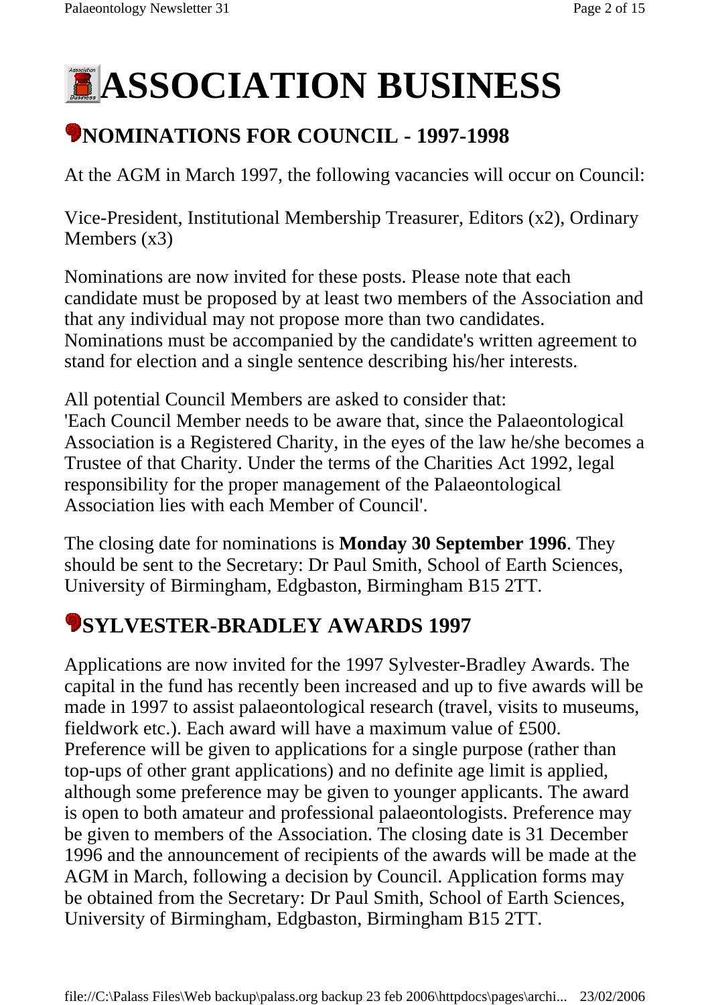# **ASSOCIATION BUSINESS**

## **\*NOMINATIONS FOR COUNCIL - 1997-1998**

At the AGM in March 1997, the following vacancies will occur on Council:

Vice-President, Institutional Membership Treasurer, Editors (x2), Ordinary Members (x3)

Nominations are now invited for these posts. Please note that each candidate must be proposed by at least two members of the Association and that any individual may not propose more than two candidates. Nominations must be accompanied by the candidate's written agreement to stand for election and a single sentence describing his/her interests.

All potential Council Members are asked to consider that: 'Each Council Member needs to be aware that, since the Palaeontological Association is a Registered Charity, in the eyes of the law he/she becomes a Trustee of that Charity. Under the terms of the Charities Act 1992, legal responsibility for the proper management of the Palaeontological Association lies with each Member of Council'.

The closing date for nominations is **Monday 30 September 1996**. They should be sent to the Secretary: Dr Paul Smith, School of Earth Sciences, University of Birmingham, Edgbaston, Birmingham B15 2TT.

## **SYLVESTER-BRADLEY AWARDS 1997**

Applications are now invited for the 1997 Sylvester-Bradley Awards. The capital in the fund has recently been increased and up to five awards will be made in 1997 to assist palaeontological research (travel, visits to museums, fieldwork etc.). Each award will have a maximum value of £500. Preference will be given to applications for a single purpose (rather than top-ups of other grant applications) and no definite age limit is applied, although some preference may be given to younger applicants. The award is open to both amateur and professional palaeontologists. Preference may be given to members of the Association. The closing date is 31 December 1996 and the announcement of recipients of the awards will be made at the AGM in March, following a decision by Council. Application forms may be obtained from the Secretary: Dr Paul Smith, School of Earth Sciences, University of Birmingham, Edgbaston, Birmingham B15 2TT.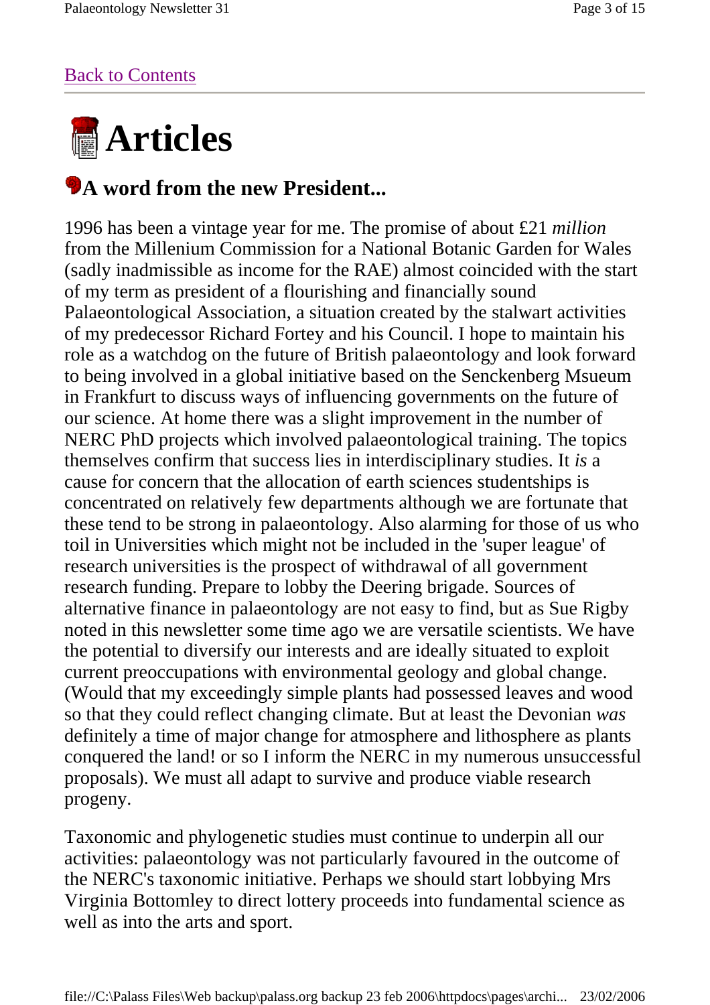#### Back to Contents



#### **A** word from the new President...

1996 has been a vintage year for me. The promise of about £21 *million* from the Millenium Commission for a National Botanic Garden for Wales (sadly inadmissible as income for the RAE) almost coincided with the start of my term as president of a flourishing and financially sound Palaeontological Association, a situation created by the stalwart activities of my predecessor Richard Fortey and his Council. I hope to maintain his role as a watchdog on the future of British palaeontology and look forward to being involved in a global initiative based on the Senckenberg Msueum in Frankfurt to discuss ways of influencing governments on the future of our science. At home there was a slight improvement in the number of NERC PhD projects which involved palaeontological training. The topics themselves confirm that success lies in interdisciplinary studies. It *is* a cause for concern that the allocation of earth sciences studentships is concentrated on relatively few departments although we are fortunate that these tend to be strong in palaeontology. Also alarming for those of us who toil in Universities which might not be included in the 'super league' of research universities is the prospect of withdrawal of all government research funding. Prepare to lobby the Deering brigade. Sources of alternative finance in palaeontology are not easy to find, but as Sue Rigby noted in this newsletter some time ago we are versatile scientists. We have the potential to diversify our interests and are ideally situated to exploit current preoccupations with environmental geology and global change. (Would that my exceedingly simple plants had possessed leaves and wood so that they could reflect changing climate. But at least the Devonian *was*  definitely a time of major change for atmosphere and lithosphere as plants conquered the land! or so I inform the NERC in my numerous unsuccessful proposals). We must all adapt to survive and produce viable research progeny.

Taxonomic and phylogenetic studies must continue to underpin all our activities: palaeontology was not particularly favoured in the outcome of the NERC's taxonomic initiative. Perhaps we should start lobbying Mrs Virginia Bottomley to direct lottery proceeds into fundamental science as well as into the arts and sport.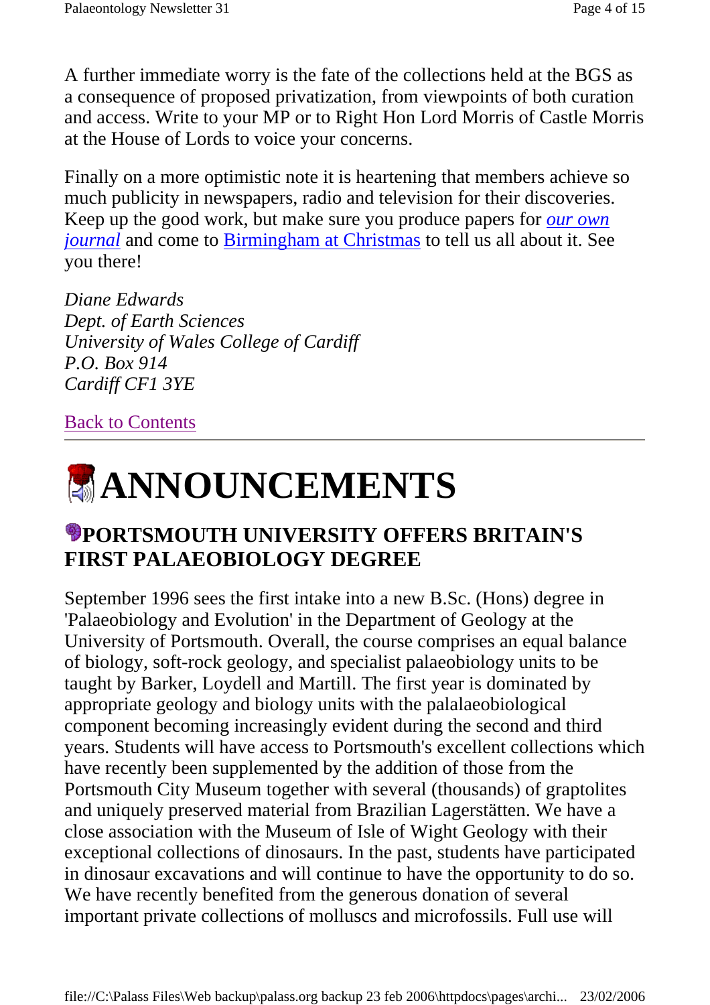A further immediate worry is the fate of the collections held at the BGS as a consequence of proposed privatization, from viewpoints of both curation and access. Write to your MP or to Right Hon Lord Morris of Castle Morris at the House of Lords to voice your concerns.

Finally on a more optimistic note it is heartening that members achieve so much publicity in newspapers, radio and television for their discoveries. Keep up the good work, but make sure you produce papers for *our own journal* and come to **Birmingham at Christmas** to tell us all about it. See you there!

*Diane Edwards Dept. of Earth Sciences University of Wales College of Cardiff P.O. Box 914 Cardiff CF1 3YE*

#### Back to Contents



#### **PORTSMOUTH UNIVERSITY OFFERS BRITAIN'S FIRST PALAEOBIOLOGY DEGREE**

September 1996 sees the first intake into a new B.Sc. (Hons) degree in 'Palaeobiology and Evolution' in the Department of Geology at the University of Portsmouth. Overall, the course comprises an equal balance of biology, soft-rock geology, and specialist palaeobiology units to be taught by Barker, Loydell and Martill. The first year is dominated by appropriate geology and biology units with the palalaeobiological component becoming increasingly evident during the second and third years. Students will have access to Portsmouth's excellent collections which have recently been supplemented by the addition of those from the Portsmouth City Museum together with several (thousands) of graptolites and uniquely preserved material from Brazilian Lagerstätten. We have a close association with the Museum of Isle of Wight Geology with their exceptional collections of dinosaurs. In the past, students have participated in dinosaur excavations and will continue to have the opportunity to do so. We have recently benefited from the generous donation of several important private collections of molluscs and microfossils. Full use will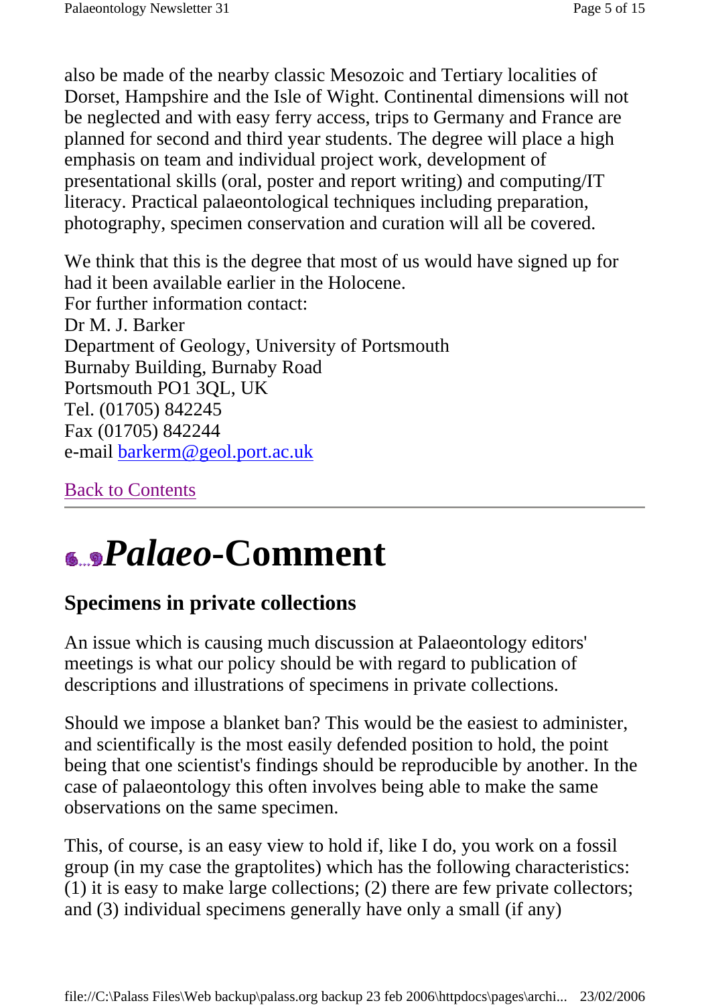also be made of the nearby classic Mesozoic and Tertiary localities of Dorset, Hampshire and the Isle of Wight. Continental dimensions will not be neglected and with easy ferry access, trips to Germany and France are planned for second and third year students. The degree will place a high emphasis on team and individual project work, development of presentational skills (oral, poster and report writing) and computing/IT literacy. Practical palaeontological techniques including preparation, photography, specimen conservation and curation will all be covered.

We think that this is the degree that most of us would have signed up for had it been available earlier in the Holocene. For further information contact: Dr M. J. Barker Department of Geology, University of Portsmouth Burnaby Building, Burnaby Road Portsmouth PO1 3QL, UK Tel. (01705) 842245 Fax (01705) 842244 e-mail barkerm@geol.port.ac.uk

Back to Contents

## *Palaeo***-Comment**

### **Specimens in private collections**

An issue which is causing much discussion at Palaeontology editors' meetings is what our policy should be with regard to publication of descriptions and illustrations of specimens in private collections.

Should we impose a blanket ban? This would be the easiest to administer, and scientifically is the most easily defended position to hold, the point being that one scientist's findings should be reproducible by another. In the case of palaeontology this often involves being able to make the same observations on the same specimen.

This, of course, is an easy view to hold if, like I do, you work on a fossil group (in my case the graptolites) which has the following characteristics: (1) it is easy to make large collections; (2) there are few private collectors; and (3) individual specimens generally have only a small (if any)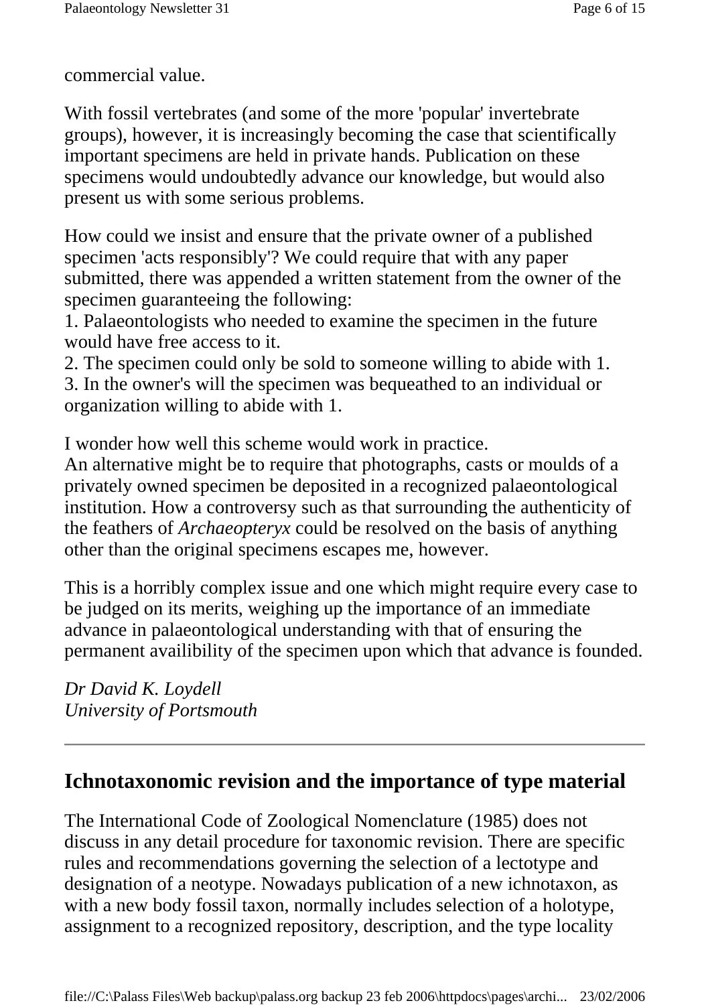commercial value.

With fossil vertebrates (and some of the more 'popular' invertebrate groups), however, it is increasingly becoming the case that scientifically important specimens are held in private hands. Publication on these specimens would undoubtedly advance our knowledge, but would also present us with some serious problems.

How could we insist and ensure that the private owner of a published specimen 'acts responsibly'? We could require that with any paper submitted, there was appended a written statement from the owner of the specimen guaranteeing the following:

1. Palaeontologists who needed to examine the specimen in the future would have free access to it.

2. The specimen could only be sold to someone willing to abide with 1. 3. In the owner's will the specimen was bequeathed to an individual or organization willing to abide with 1.

I wonder how well this scheme would work in practice.

An alternative might be to require that photographs, casts or moulds of a privately owned specimen be deposited in a recognized palaeontological institution. How a controversy such as that surrounding the authenticity of the feathers of *Archaeopteryx* could be resolved on the basis of anything other than the original specimens escapes me, however.

This is a horribly complex issue and one which might require every case to be judged on its merits, weighing up the importance of an immediate advance in palaeontological understanding with that of ensuring the permanent availibility of the specimen upon which that advance is founded.

*Dr David K. Loydell University of Portsmouth*

#### **Ichnotaxonomic revision and the importance of type material**

The International Code of Zoological Nomenclature (1985) does not discuss in any detail procedure for taxonomic revision. There are specific rules and recommendations governing the selection of a lectotype and designation of a neotype. Nowadays publication of a new ichnotaxon, as with a new body fossil taxon, normally includes selection of a holotype, assignment to a recognized repository, description, and the type locality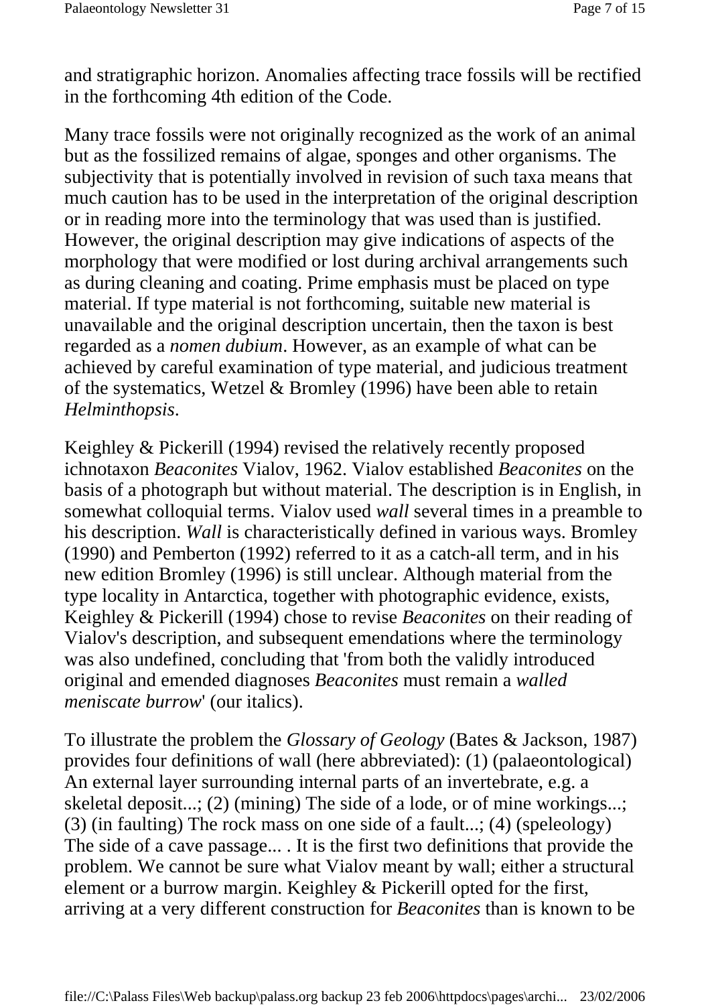and stratigraphic horizon. Anomalies affecting trace fossils will be rectified in the forthcoming 4th edition of the Code.

Many trace fossils were not originally recognized as the work of an animal but as the fossilized remains of algae, sponges and other organisms. The subjectivity that is potentially involved in revision of such taxa means that much caution has to be used in the interpretation of the original description or in reading more into the terminology that was used than is justified. However, the original description may give indications of aspects of the morphology that were modified or lost during archival arrangements such as during cleaning and coating. Prime emphasis must be placed on type material. If type material is not forthcoming, suitable new material is unavailable and the original description uncertain, then the taxon is best regarded as a *nomen dubium*. However, as an example of what can be achieved by careful examination of type material, and judicious treatment of the systematics, Wetzel & Bromley (1996) have been able to retain *Helminthopsis*.

Keighley & Pickerill (1994) revised the relatively recently proposed ichnotaxon *Beaconites* Vialov, 1962. Vialov established *Beaconites* on the basis of a photograph but without material. The description is in English, in somewhat colloquial terms. Vialov used *wall* several times in a preamble to his description. *Wall* is characteristically defined in various ways. Bromley (1990) and Pemberton (1992) referred to it as a catch-all term, and in his new edition Bromley (1996) is still unclear. Although material from the type locality in Antarctica, together with photographic evidence, exists, Keighley & Pickerill (1994) chose to revise *Beaconites* on their reading of Vialov's description, and subsequent emendations where the terminology was also undefined, concluding that 'from both the validly introduced original and emended diagnoses *Beaconites* must remain a *walled meniscate burrow*' (our italics).

To illustrate the problem the *Glossary of Geology* (Bates & Jackson, 1987) provides four definitions of wall (here abbreviated): (1) (palaeontological) An external layer surrounding internal parts of an invertebrate, e.g. a skeletal deposit...; (2) (mining) The side of a lode, or of mine workings...; (3) (in faulting) The rock mass on one side of a fault...; (4) (speleology) The side of a cave passage... . It is the first two definitions that provide the problem. We cannot be sure what Vialov meant by wall; either a structural element or a burrow margin. Keighley & Pickerill opted for the first, arriving at a very different construction for *Beaconites* than is known to be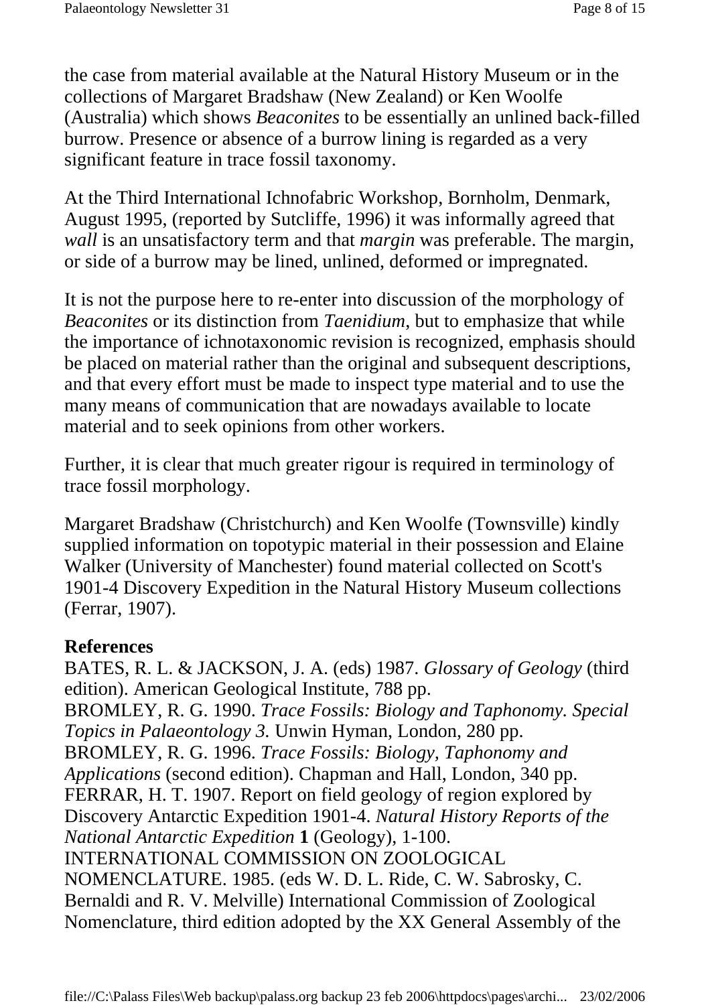the case from material available at the Natural History Museum or in the collections of Margaret Bradshaw (New Zealand) or Ken Woolfe (Australia) which shows *Beaconites* to be essentially an unlined back-filled burrow. Presence or absence of a burrow lining is regarded as a very significant feature in trace fossil taxonomy.

At the Third International Ichnofabric Workshop, Bornholm, Denmark, August 1995, (reported by Sutcliffe, 1996) it was informally agreed that *wall* is an unsatisfactory term and that *margin* was preferable. The margin, or side of a burrow may be lined, unlined, deformed or impregnated.

It is not the purpose here to re-enter into discussion of the morphology of *Beaconites* or its distinction from *Taenidium*, but to emphasize that while the importance of ichnotaxonomic revision is recognized, emphasis should be placed on material rather than the original and subsequent descriptions, and that every effort must be made to inspect type material and to use the many means of communication that are nowadays available to locate material and to seek opinions from other workers.

Further, it is clear that much greater rigour is required in terminology of trace fossil morphology.

Margaret Bradshaw (Christchurch) and Ken Woolfe (Townsville) kindly supplied information on topotypic material in their possession and Elaine Walker (University of Manchester) found material collected on Scott's 1901-4 Discovery Expedition in the Natural History Museum collections (Ferrar, 1907).

#### **References**

BATES, R. L. & JACKSON, J. A. (eds) 1987. *Glossary of Geology* (third edition). American Geological Institute, 788 pp. BROMLEY, R. G. 1990. *Trace Fossils: Biology and Taphonomy. Special Topics in Palaeontology 3.* Unwin Hyman, London, 280 pp. BROMLEY, R. G. 1996. *Trace Fossils: Biology, Taphonomy and Applications* (second edition). Chapman and Hall, London, 340 pp. FERRAR, H. T. 1907. Report on field geology of region explored by Discovery Antarctic Expedition 1901-4. *Natural History Reports of the National Antarctic Expedition* **1** (Geology), 1-100. INTERNATIONAL COMMISSION ON ZOOLOGICAL NOMENCLATURE. 1985. (eds W. D. L. Ride, C. W. Sabrosky, C. Bernaldi and R. V. Melville) International Commission of Zoological Nomenclature, third edition adopted by the XX General Assembly of the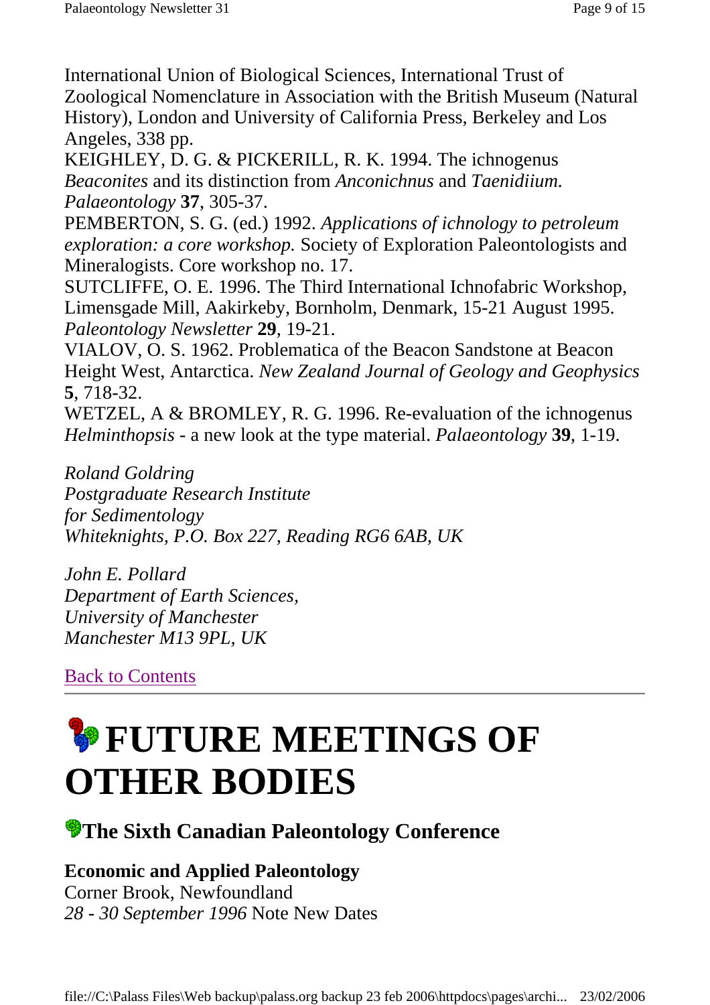International Union of Biological Sciences, International Trust of Zoological Nomenclature in Association with the British Museum (Natural History), London and University of California Press, Berkeley and Los Angeles, 338 pp.

KEIGHLEY, D. G. & PICKERILL, R. K. 1994. The ichnogenus *Beaconites* and its distinction from *Anconichnus* and *Taenidiium. Palaeontology* **37**, 305-37.

PEMBERTON, S. G. (ed.) 1992. *Applications of ichnology to petroleum exploration: a core workshop.* Society of Exploration Paleontologists and Mineralogists. Core workshop no. 17.

SUTCLIFFE, O. E. 1996. The Third International Ichnofabric Workshop, Limensgade Mill, Aakirkeby, Bornholm, Denmark, 15-21 August 1995. *Paleontology Newsletter* **29**, 19-21.

VIALOV, O. S. 1962. Problematica of the Beacon Sandstone at Beacon Height West, Antarctica. *New Zealand Journal of Geology and Geophysics* **5**, 718-32.

WETZEL, A & BROMLEY, R. G. 1996. Re-evaluation of the ichnogenus *Helminthopsis* - a new look at the type material. *Palaeontology* **39**, 1-19.

*Roland Goldring Postgraduate Research Institute for Sedimentology Whiteknights, P.O. Box 227, Reading RG6 6AB, UK*

*John E. Pollard Department of Earth Sciences, University of Manchester Manchester M13 9PL, UK*

Back to Contents

## **FUTURE MEETINGS OF OTHER BODIES**

### **The Sixth Canadian Paleontology Conference**

#### **Economic and Applied Paleontology**

Corner Brook, Newfoundland *28 - 30 September 1996* Note New Dates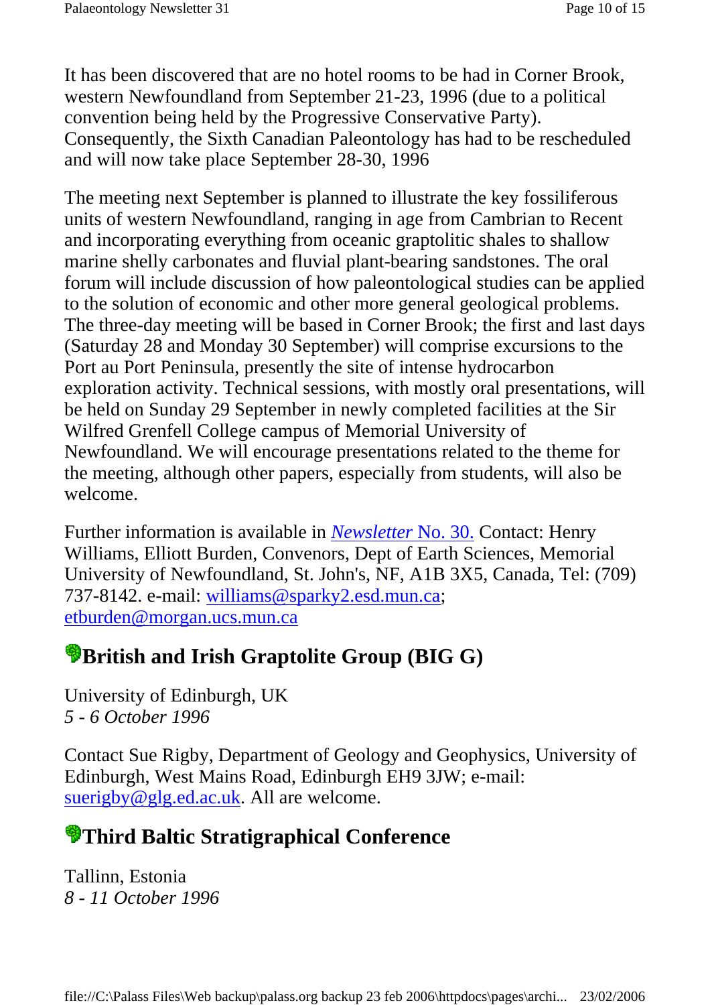It has been discovered that are no hotel rooms to be had in Corner Brook, western Newfoundland from September 21-23, 1996 (due to a political convention being held by the Progressive Conservative Party). Consequently, the Sixth Canadian Paleontology has had to be rescheduled and will now take place September 28-30, 1996

The meeting next September is planned to illustrate the key fossiliferous units of western Newfoundland, ranging in age from Cambrian to Recent and incorporating everything from oceanic graptolitic shales to shallow marine shelly carbonates and fluvial plant-bearing sandstones. The oral forum will include discussion of how paleontological studies can be applied to the solution of economic and other more general geological problems. The three-day meeting will be based in Corner Brook; the first and last days (Saturday 28 and Monday 30 September) will comprise excursions to the Port au Port Peninsula, presently the site of intense hydrocarbon exploration activity. Technical sessions, with mostly oral presentations, will be held on Sunday 29 September in newly completed facilities at the Sir Wilfred Grenfell College campus of Memorial University of Newfoundland. We will encourage presentations related to the theme for the meeting, although other papers, especially from students, will also be welcome.

Further information is available in *Newsletter* No. 30. Contact: Henry Williams, Elliott Burden, Convenors, Dept of Earth Sciences, Memorial University of Newfoundland, St. John's, NF, A1B 3X5, Canada, Tel: (709) 737-8142. e-mail: williams@sparky2.esd.mun.ca; etburden@morgan.ucs.mun.ca

#### **British and Irish Graptolite Group (BIG G)**

University of Edinburgh, UK *5 - 6 October 1996*

Contact Sue Rigby, Department of Geology and Geophysics, University of Edinburgh, West Mains Road, Edinburgh EH9 3JW; e-mail: suerigby@glg.ed.ac.uk. All are welcome.

## **Third Baltic Stratigraphical Conference**

Tallinn, Estonia *8 - 11 October 1996*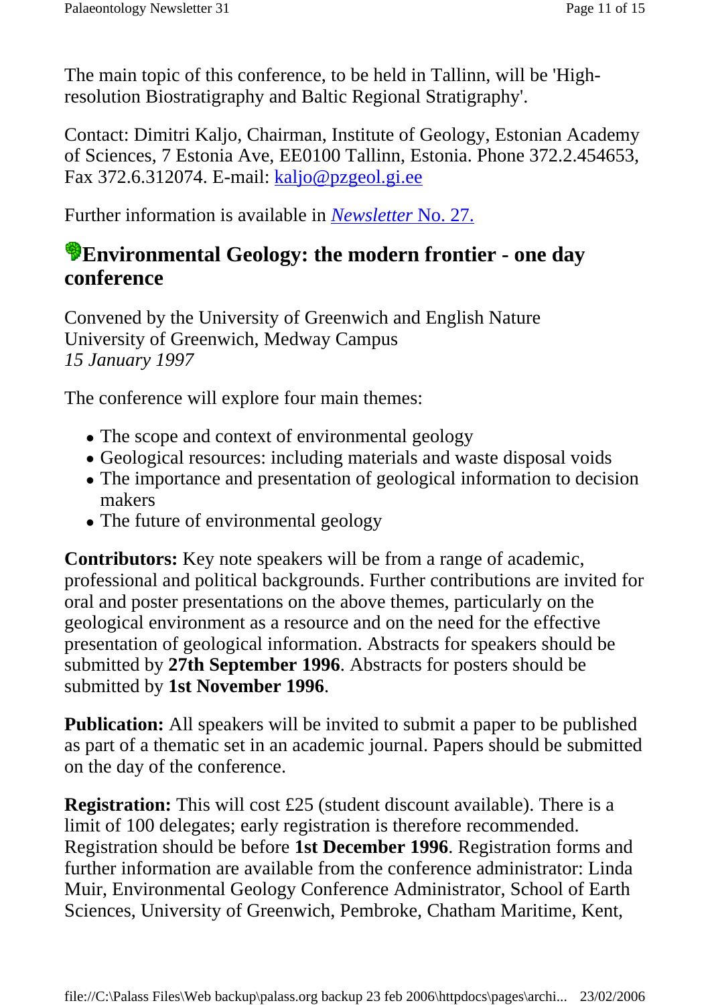The main topic of this conference, to be held in Tallinn, will be 'Highresolution Biostratigraphy and Baltic Regional Stratigraphy'.

Contact: Dimitri Kaljo, Chairman, Institute of Geology, Estonian Academy of Sciences, 7 Estonia Ave, EE0100 Tallinn, Estonia. Phone 372.2.454653, Fax 372.6.312074. E-mail: kaljo@pzgeol.gi.ee

Further information is available in *Newsletter* No. 27.

#### **Environmental Geology: the modern frontier - one day conference**

Convened by the University of Greenwich and English Nature University of Greenwich, Medway Campus *15 January 1997*

The conference will explore four main themes:

- The scope and context of environmental geology
- Geological resources: including materials and waste disposal voids
- The importance and presentation of geological information to decision makers
- The future of environmental geology

**Contributors:** Key note speakers will be from a range of academic, professional and political backgrounds. Further contributions are invited for oral and poster presentations on the above themes, particularly on the geological environment as a resource and on the need for the effective presentation of geological information. Abstracts for speakers should be submitted by **27th September 1996**. Abstracts for posters should be submitted by **1st November 1996**.

**Publication:** All speakers will be invited to submit a paper to be published as part of a thematic set in an academic journal. Papers should be submitted on the day of the conference.

**Registration:** This will cost £25 (student discount available). There is a limit of 100 delegates; early registration is therefore recommended. Registration should be before **1st December 1996**. Registration forms and further information are available from the conference administrator: Linda Muir, Environmental Geology Conference Administrator, School of Earth Sciences, University of Greenwich, Pembroke, Chatham Maritime, Kent,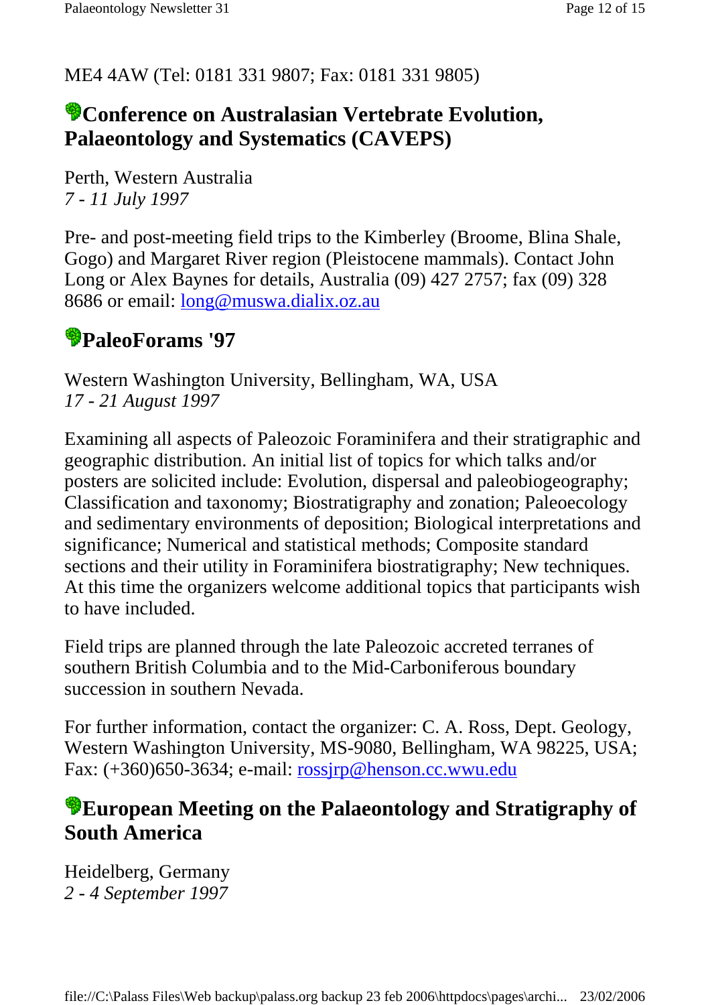#### ME4 4AW (Tel: 0181 331 9807; Fax: 0181 331 9805)

#### **Conference on Australasian Vertebrate Evolution, Palaeontology and Systematics (CAVEPS)**

Perth, Western Australia *7 - 11 July 1997*

Pre- and post-meeting field trips to the Kimberley (Broome, Blina Shale, Gogo) and Margaret River region (Pleistocene mammals). Contact John Long or Alex Baynes for details, Australia (09) 427 2757; fax (09) 328 8686 or email: long@muswa.dialix.oz.au

#### **PaleoForams '97**

Western Washington University, Bellingham, WA, USA *17 - 21 August 1997*

Examining all aspects of Paleozoic Foraminifera and their stratigraphic and geographic distribution. An initial list of topics for which talks and/or posters are solicited include: Evolution, dispersal and paleobiogeography; Classification and taxonomy; Biostratigraphy and zonation; Paleoecology and sedimentary environments of deposition; Biological interpretations and significance; Numerical and statistical methods; Composite standard sections and their utility in Foraminifera biostratigraphy; New techniques. At this time the organizers welcome additional topics that participants wish to have included.

Field trips are planned through the late Paleozoic accreted terranes of southern British Columbia and to the Mid-Carboniferous boundary succession in southern Nevada.

For further information, contact the organizer: C. A. Ross, Dept. Geology, Western Washington University, MS-9080, Bellingham, WA 98225, USA; Fax: (+360)650-3634; e-mail: rossjrp@henson.cc.wwu.edu

#### **European Meeting on the Palaeontology and Stratigraphy of South America**

Heidelberg, Germany *2 - 4 September 1997*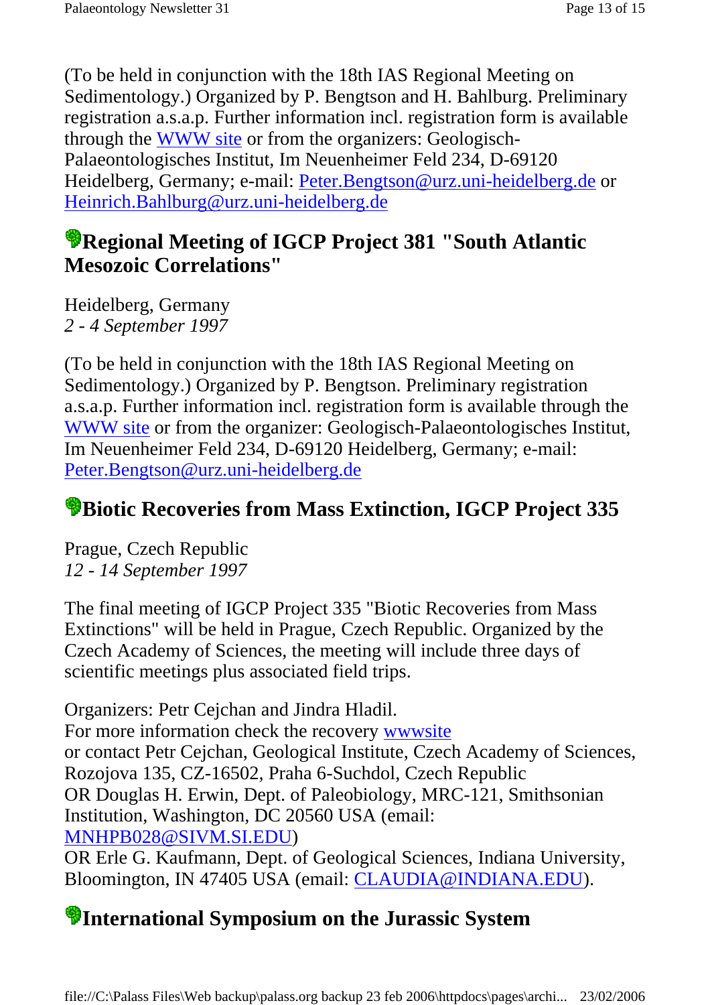(To be held in conjunction with the 18th IAS Regional Meeting on Sedimentology.) Organized by P. Bengtson and H. Bahlburg. Preliminary registration a.s.a.p. Further information incl. registration form is available through the WWW site or from the organizers: Geologisch-Palaeontologisches Institut, Im Neuenheimer Feld 234, D-69120 Heidelberg, Germany; e-mail: Peter.Bengtson@urz.uni-heidelberg.de or Heinrich.Bahlburg@urz.uni-heidelberg.de

#### **Regional Meeting of IGCP Project 381 "South Atlantic Mesozoic Correlations"**

Heidelberg, Germany *2 - 4 September 1997*

(To be held in conjunction with the 18th IAS Regional Meeting on Sedimentology.) Organized by P. Bengtson. Preliminary registration a.s.a.p. Further information incl. registration form is available through the WWW site or from the organizer: Geologisch-Palaeontologisches Institut, Im Neuenheimer Feld 234, D-69120 Heidelberg, Germany; e-mail: Peter.Bengtson@urz.uni-heidelberg.de

### **Biotic Recoveries from Mass Extinction, IGCP Project 335**

Prague, Czech Republic *12 - 14 September 1997*

The final meeting of IGCP Project 335 "Biotic Recoveries from Mass Extinctions" will be held in Prague, Czech Republic. Organized by the Czech Academy of Sciences, the meeting will include three days of scientific meetings plus associated field trips.

Organizers: Petr Cejchan and Jindra Hladil. For more information check the recovery wwwsite or contact Petr Cejchan, Geological Institute, Czech Academy of Sciences, Rozojova 135, CZ-16502, Praha 6-Suchdol, Czech Republic OR Douglas H. Erwin, Dept. of Paleobiology, MRC-121, Smithsonian Institution, Washington, DC 20560 USA (email: MNHPB028@SIVM.SI.EDU)

OR Erle G. Kaufmann, Dept. of Geological Sciences, Indiana University, Bloomington, IN 47405 USA (email: CLAUDIA@INDIANA.EDU).

### **International Symposium on the Jurassic System**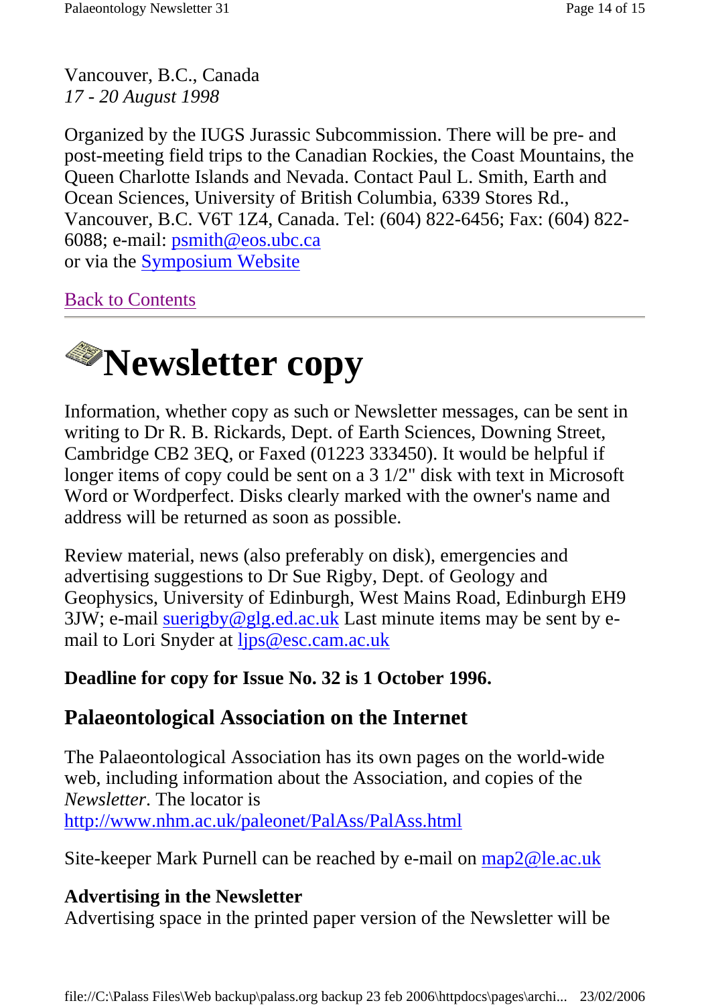Vancouver, B.C., Canada *17 - 20 August 1998*

Organized by the IUGS Jurassic Subcommission. There will be pre- and post-meeting field trips to the Canadian Rockies, the Coast Mountains, the Queen Charlotte Islands and Nevada. Contact Paul L. Smith, Earth and Ocean Sciences, University of British Columbia, 6339 Stores Rd., Vancouver, B.C. V6T 1Z4, Canada. Tel: (604) 822-6456; Fax: (604) 822- 6088; e-mail: psmith@eos.ubc.ca or via the Symposium Website

Back to Contents



Information, whether copy as such or Newsletter messages, can be sent in writing to Dr R. B. Rickards, Dept. of Earth Sciences, Downing Street, Cambridge CB2 3EQ, or Faxed (01223 333450). It would be helpful if longer items of copy could be sent on a 3 1/2" disk with text in Microsoft Word or Wordperfect. Disks clearly marked with the owner's name and address will be returned as soon as possible.

Review material, news (also preferably on disk), emergencies and advertising suggestions to Dr Sue Rigby, Dept. of Geology and Geophysics, University of Edinburgh, West Mains Road, Edinburgh EH9 3JW; e-mail suerigby@glg.ed.ac.uk Last minute items may be sent by email to Lori Snyder at ljps@esc.cam.ac.uk

#### **Deadline for copy for Issue No. 32 is 1 October 1996.**

#### **Palaeontological Association on the Internet**

The Palaeontological Association has its own pages on the world-wide web, including information about the Association, and copies of the *Newsletter*. The locator is http://www.nhm.ac.uk/paleonet/PalAss/PalAss.html

Site-keeper Mark Purnell can be reached by e-mail on map2@le.ac.uk

#### **Advertising in the Newsletter**

Advertising space in the printed paper version of the Newsletter will be